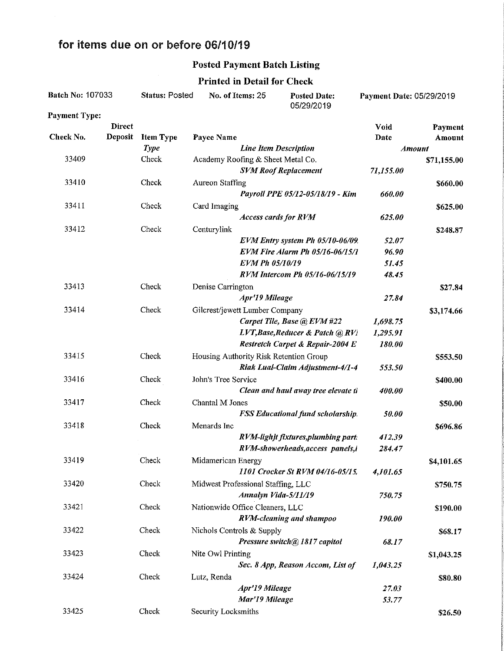## for items due on or before 06/10/19

## Posted Payment Batch Listing

| Batch No: 107033     |               | <b>Status: Posted</b> | No. of Items: 25                       | <b>Posted Date:</b><br>05/29/2019        | Payment Date: 05/29/2019 |            |
|----------------------|---------------|-----------------------|----------------------------------------|------------------------------------------|--------------------------|------------|
| <b>Payment Type:</b> |               |                       |                                        |                                          |                          |            |
|                      | <b>Direct</b> |                       |                                        |                                          | Void                     | Payment    |
| Check No.            | Deposit       | <b>Item Type</b>      | Payee Name                             |                                          | Date                     | Amount     |
|                      |               | <b>Type</b>           | <b>Line Item Description</b>           |                                          | <b>Amount</b>            |            |
| 33409                |               | Check                 | Academy Roofing & Sheet Metal Co.      |                                          | \$71,155.00              |            |
|                      |               |                       |                                        | <b>SVM Roof Replacement</b>              | 71,155.00                |            |
| 33410                |               | Check                 | <b>Aureon Staffing</b>                 |                                          |                          | \$660.00   |
|                      |               |                       |                                        | Payroll PPE 05/12-05/18/19 - Kim         | 660.00                   |            |
| 33411                |               | Check                 | Card Imaging                           |                                          |                          | \$625.00   |
|                      |               |                       |                                        | <b>Access cards for RVM</b>              | 625.00                   |            |
| 33412                |               | Check                 | Centurylink                            |                                          |                          | \$248.87   |
|                      |               |                       |                                        | EVM Entry system Ph 05/10-06/09.         | 52.07                    |            |
|                      |               |                       |                                        | EVM Fire Alarm Ph 05/16-06/15/1          | 96.90                    |            |
|                      |               |                       | <b>EVM Ph 05/10/19</b>                 |                                          | 51.45                    |            |
|                      |               |                       |                                        | RVM Intercom Ph 05/16-06/15/19           | 48.45                    |            |
| 33413                |               | Check                 | Denise Carrington                      |                                          |                          | \$27.84    |
|                      |               |                       | Apr'19 Mileage                         |                                          | 27.84                    |            |
| 33414                |               |                       |                                        |                                          |                          |            |
|                      |               | Check                 | Gilcrest/jewett Lumber Company         |                                          |                          | \$3,174.66 |
|                      |               |                       |                                        | Carpet Tile, Base @ EVM #22              | 1,698.75                 |            |
|                      |               |                       |                                        | LVT, Base, Reducer & Patch @ RVi         | 1,295.91                 |            |
|                      |               |                       |                                        | Restretch Carpet & Repair-2004 E         | 180.00                   |            |
| 33415                |               | Check                 | Housing Authority Risk Retention Group |                                          |                          | \$553.50   |
|                      |               |                       |                                        | Riak Lual-Claim Adjustment-4/1-4         | 553.50                   |            |
| 33416                |               | Check                 | John's Tree Service                    |                                          |                          | \$400.00   |
|                      |               |                       |                                        | Clean and haul away tree elevate ti      | 400.00                   |            |
| 33417                |               | Check                 | Chantal M Jones                        |                                          |                          | \$50.00    |
|                      |               |                       |                                        | <b>FSS Educational fund scholarship.</b> | 50.00                    |            |
| 33418                |               | Check                 | Menards Inc                            |                                          |                          | \$696.86   |
|                      |               |                       |                                        | RVM-lighjt fixtures, plumbing part:      | 412.39                   |            |
|                      |               |                       |                                        | RVM-showerheads, access panels, i        | 284.47                   |            |
| 33419                |               | Check                 | Midamerican Energy                     |                                          |                          | \$4,101.65 |
|                      |               |                       |                                        | 1101 Crocker St RVM 04/16-05/15.         | 4,101.65                 |            |
| 33420                |               | Check                 | Midwest Professional Staffing, LLC     |                                          |                          | \$750.75   |
|                      |               |                       | Annalyn Vida-5/11/19                   |                                          | 750.75                   |            |
|                      |               |                       |                                        |                                          |                          |            |
| 33421                |               | Check                 | Nationwide Office Cleaners, LLC        |                                          |                          | \$190.00   |
|                      |               |                       |                                        | <b>RVM-cleaning and shampoo</b>          | 190.00                   |            |
| 33422                |               | Check                 | Nichols Controls & Supply              |                                          |                          | \$68.17    |
|                      |               |                       |                                        | Pressure switch@ 1817 capitol            | 68.17                    |            |
| 33423                |               | Check                 | Nite Owl Printing                      |                                          |                          | \$1,043.25 |
|                      |               |                       |                                        | Sec. 8 App, Reason Accom, List of        | 1,043.25                 |            |
| 33424                |               | Check                 | Lutz, Renda                            |                                          |                          | \$80.80    |
|                      |               |                       | Apr'19 Mileage                         |                                          | 27.03                    |            |
|                      |               |                       | Mar'19 Mileage                         |                                          | 53.77                    |            |
| 33425                |               | Check                 | Security Locksmiths                    |                                          |                          | \$26.50    |

## Printed in Detail for Check